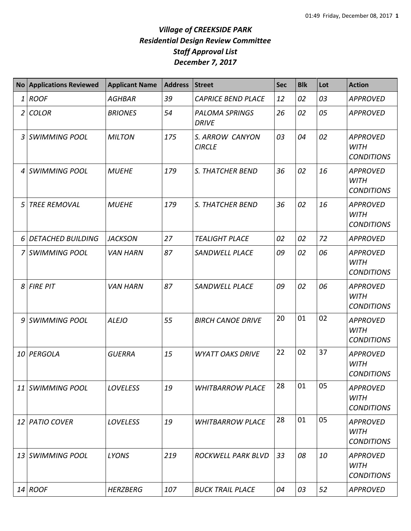## *Village of CREEKSIDE PARK Residential Design Review Committee Staff Approval List December 7, 2017*

|                | No Applications Reviewed | <b>Applicant Name</b> | <b>Address</b> | <b>Street</b>                         | <b>Sec</b> | <b>Blk</b> | Lot | <b>Action</b>                                       |
|----------------|--------------------------|-----------------------|----------------|---------------------------------------|------------|------------|-----|-----------------------------------------------------|
|                | 1 ROOF                   | <b>AGHBAR</b>         | 39             | <b>CAPRICE BEND PLACE</b>             | 12         | 02         | 03  | <b>APPROVED</b>                                     |
| $\overline{2}$ | <b>COLOR</b>             | <b>BRIONES</b>        | 54             | <b>PALOMA SPRINGS</b><br><b>DRIVE</b> | 26         | 02         | 05  | <b>APPROVED</b>                                     |
| 3              | <b>SWIMMING POOL</b>     | <b>MILTON</b>         | 175            | S. ARROW CANYON<br><b>CIRCLE</b>      | 03         | 04         | 02  | <b>APPROVED</b><br><b>WITH</b><br><b>CONDITIONS</b> |
| 4              | <b>SWIMMING POOL</b>     | <b>MUEHE</b>          | 179            | <b>S. THATCHER BEND</b>               | 36         | 02         | 16  | <b>APPROVED</b><br><b>WITH</b><br><b>CONDITIONS</b> |
| 5              | <b>TREE REMOVAL</b>      | <b>MUEHE</b>          | 179            | <b>S. THATCHER BEND</b>               | 36         | 02         | 16  | <b>APPROVED</b><br><b>WITH</b><br><b>CONDITIONS</b> |
| 6              | <b>DETACHED BUILDING</b> | <b>JACKSON</b>        | 27             | <b>TEALIGHT PLACE</b>                 | 02         | 02         | 72  | <b>APPROVED</b>                                     |
|                | <b>7 SWIMMING POOL</b>   | <b>VAN HARN</b>       | 87             | <b>SANDWELL PLACE</b>                 | 09         | 02         | 06  | <b>APPROVED</b><br><b>WITH</b><br><b>CONDITIONS</b> |
|                | 8 FIRE PIT               | <b>VAN HARN</b>       | 87             | <b>SANDWELL PLACE</b>                 | 09         | 02         | 06  | <b>APPROVED</b><br><b>WITH</b><br><b>CONDITIONS</b> |
| 9              | SWIMMING POOL            | <b>ALEJO</b>          | 55             | <b>BIRCH CANOE DRIVE</b>              | 20         | 01         | 02  | <b>APPROVED</b><br><b>WITH</b><br><b>CONDITIONS</b> |
|                | 10 PERGOLA               | <b>GUERRA</b>         | 15             | <b>WYATT OAKS DRIVE</b>               | 22         | 02         | 37  | <b>APPROVED</b><br><b>WITH</b><br><b>CONDITIONS</b> |
| 11             | SWIMMING POOL            | <b>LOVELESS</b>       | 19             | <b>WHITBARROW PLACE</b>               | 28         | 01         | 05  | <b>APPROVED</b><br><b>WITH</b><br><b>CONDITIONS</b> |
|                | 12 PATIO COVER           | <b>LOVELESS</b>       | 19             | <b>WHITBARROW PLACE</b>               | 28         | 01         | 05  | <b>APPROVED</b><br><b>WITH</b><br><b>CONDITIONS</b> |
|                | 13 SWIMMING POOL         | <b>LYONS</b>          | 219            | ROCKWELL PARK BLVD                    | 33         | 08         | 10  | <b>APPROVED</b><br><b>WITH</b><br><b>CONDITIONS</b> |
|                | $14$ ROOF                | <b>HERZBERG</b>       | 107            | <b>BUCK TRAIL PLACE</b>               | 04         | 03         | 52  | APPROVED                                            |